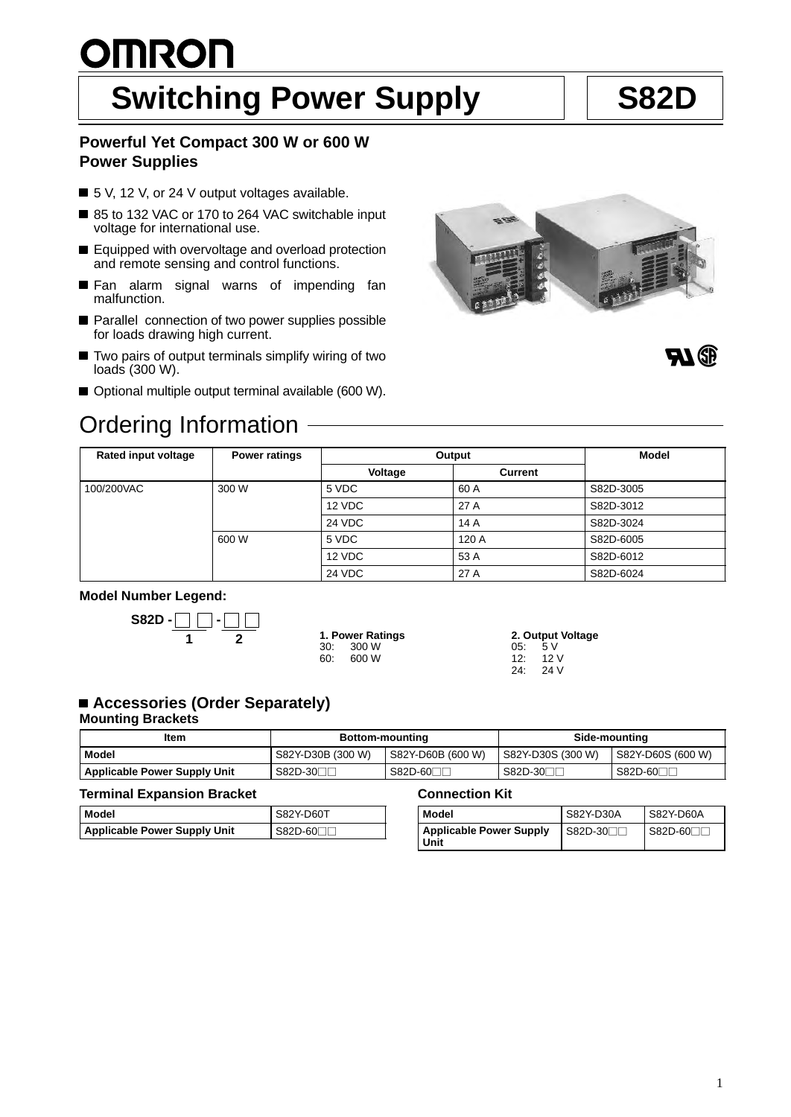# **OMRON** Switching Power Supply | S82D

## **Powerful Yet Compact 300 W or 600 W Power Supplies**

- 5 V, 12 V, or 24 V output voltages available.
- 85 to 132 VAC or 170 to 264 VAC switchable input voltage for international use.
- Equipped with overvoltage and overload protection and remote sensing and control functions.
- Fan alarm signal warns of impending fan malfunction.
- **Parallel connection of two power supplies possible** for loads drawing high current.
- Two pairs of output terminals simplify wiring of two loads (300 W).
- Optional multiple output terminal available (600 W).

## Ordering Information





| Rated input voltage | <b>Power ratings</b> | Output        |                | <b>Model</b> |
|---------------------|----------------------|---------------|----------------|--------------|
|                     |                      | Voltage       | <b>Current</b> |              |
| 100/200VAC          | 300 W                | 5 VDC         | 60 A           | S82D-3005    |
|                     |                      | 12 VDC        | 27 A           | S82D-3012    |
|                     |                      | <b>24 VDC</b> | 14A            | S82D-3024    |
|                     | 600 W                | 5 VDC         | 120 A          | S82D-6005    |
|                     |                      | 12 VDC        | 53 A           | S82D-6012    |
|                     |                      | <b>24 VDC</b> | 27 A           | S82D-6024    |

### **Model Number Legend:**



|     | 1. Power Ratings |
|-----|------------------|
| 30: | 300 W            |
| 60. | 600 W            |

**2. Output Voltage** 05:  $5 \text{ V}$ <br>12: 12 12: 12 V 24 V

## ■ Accessories (Order Separately)

## **Mounting Brackets**

| Item                                | <b>Bottom-mounting</b> |                       | Side-mounting         |                   |
|-------------------------------------|------------------------|-----------------------|-----------------------|-------------------|
| <b>Model</b>                        | S82Y-D30B (300 W)      | S82Y-D60B (600 W)     | S82Y-D30S (300 W)     | S82Y-D60S (600 W) |
| <b>Applicable Power Supply Unit</b> | S82D-30∏               | S82D-60 <sub>[1</sub> | S82D-30 <sub>IL</sub> | S82D-60⊟∟         |

### **Terminal Expansion Bracket**

| l Model                      | <b>S82Y-D60T</b> |
|------------------------------|------------------|
| Applicable Power Supply Unit | $S82D-60$        |

### **Connection Kit**

| Model                                  | S82Y-D30A                        | S82Y D60A |
|----------------------------------------|----------------------------------|-----------|
| <b>Applicable Power Supply</b><br>Unit | $\blacksquare$ S82D-30 $\square$ | $S82D-60$ |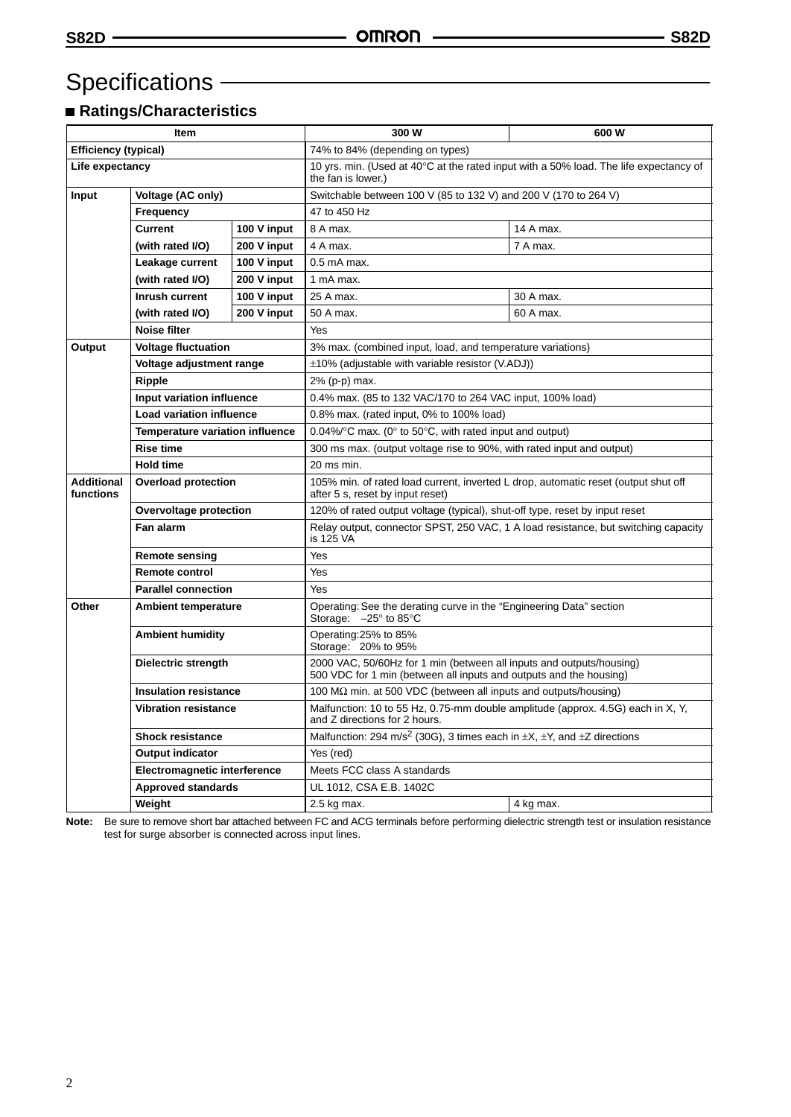## Specifications -

## **Ratings/Characteristics**

| <b>Item</b>                    |                                                                                                               | 300 W                                                                                                                 | 600 W                                                                                                                                      |           |  |
|--------------------------------|---------------------------------------------------------------------------------------------------------------|-----------------------------------------------------------------------------------------------------------------------|--------------------------------------------------------------------------------------------------------------------------------------------|-----------|--|
| <b>Efficiency (typical)</b>    |                                                                                                               | 74% to 84% (depending on types)                                                                                       |                                                                                                                                            |           |  |
| Life expectancy                |                                                                                                               | 10 yrs. min. (Used at $40^{\circ}$ C at the rated input with a 50% load. The life expectancy of<br>the fan is lower.) |                                                                                                                                            |           |  |
| Input                          | Voltage (AC only)<br>Frequency<br><b>Current</b><br>100 V input                                               |                                                                                                                       | Switchable between 100 V (85 to 132 V) and 200 V (170 to 264 V)                                                                            |           |  |
|                                |                                                                                                               |                                                                                                                       | 47 to 450 Hz                                                                                                                               |           |  |
|                                |                                                                                                               |                                                                                                                       | 8 A max.                                                                                                                                   | 14 A max. |  |
|                                | (with rated I/O)                                                                                              | 200 V input                                                                                                           | 4 A max.                                                                                                                                   | 7 A max.  |  |
|                                | Leakage current                                                                                               | 100 V input                                                                                                           | $0.5$ mA max.                                                                                                                              |           |  |
|                                | (with rated I/O)                                                                                              | 200 V input                                                                                                           | 1 mA max.                                                                                                                                  |           |  |
|                                | Inrush current                                                                                                | 100 V input                                                                                                           | 25 A max.                                                                                                                                  | 30 A max. |  |
|                                | (with rated I/O)                                                                                              | 200 V input                                                                                                           | 50 A max.                                                                                                                                  | 60 A max. |  |
|                                | Noise filter                                                                                                  |                                                                                                                       | Yes                                                                                                                                        |           |  |
| Output                         | <b>Voltage fluctuation</b>                                                                                    |                                                                                                                       | 3% max. (combined input, load, and temperature variations)                                                                                 |           |  |
|                                | Voltage adjustment range                                                                                      |                                                                                                                       | $\pm$ 10% (adjustable with variable resistor (V.ADJ))                                                                                      |           |  |
|                                | Ripple                                                                                                        |                                                                                                                       | 2% (p-p) max.                                                                                                                              |           |  |
|                                | Input variation influence                                                                                     |                                                                                                                       | 0.4% max. (85 to 132 VAC/170 to 264 VAC input, 100% load)                                                                                  |           |  |
|                                | <b>Load variation influence</b><br><b>Temperature variation influence</b><br><b>Rise time</b>                 |                                                                                                                       | 0.8% max. (rated input, 0% to 100% load)                                                                                                   |           |  |
|                                |                                                                                                               |                                                                                                                       | 0.04%/ $\degree$ C max. (0 $\degree$ to 50 $\degree$ C, with rated input and output)                                                       |           |  |
|                                |                                                                                                               |                                                                                                                       | 300 ms max. (output voltage rise to 90%, with rated input and output)                                                                      |           |  |
|                                | <b>Hold time</b>                                                                                              |                                                                                                                       | 20 ms min.                                                                                                                                 |           |  |
| <b>Additional</b><br>functions | <b>Overload protection</b>                                                                                    |                                                                                                                       | 105% min. of rated load current, inverted L drop, automatic reset (output shut off<br>after 5 s, reset by input reset)                     |           |  |
| Overvoltage protection         |                                                                                                               |                                                                                                                       | 120% of rated output voltage (typical), shut-off type, reset by input reset                                                                |           |  |
|                                | <b>Fan alarm</b>                                                                                              |                                                                                                                       | Relay output, connector SPST, 250 VAC, 1 A load resistance, but switching capacity<br>is 125 VA                                            |           |  |
|                                | <b>Remote sensing</b>                                                                                         |                                                                                                                       | Yes                                                                                                                                        |           |  |
|                                | <b>Remote control</b>                                                                                         |                                                                                                                       | Yes                                                                                                                                        |           |  |
|                                | <b>Parallel connection</b>                                                                                    |                                                                                                                       | Yes                                                                                                                                        |           |  |
| Other                          | <b>Ambient temperature</b>                                                                                    |                                                                                                                       | Operating: See the derating curve in the "Engineering Data" section<br>Storage: $-25^\circ$ to 85 $^\circ$ C                               |           |  |
|                                | <b>Ambient humidity</b>                                                                                       |                                                                                                                       | Operating:25% to 85%<br>Storage: 20% to 95%                                                                                                |           |  |
|                                | Dielectric strength<br><b>Insulation resistance</b><br><b>Vibration resistance</b><br><b>Shock resistance</b> |                                                                                                                       | 2000 VAC, 50/60Hz for 1 min (between all inputs and outputs/housing)<br>500 VDC for 1 min (between all inputs and outputs and the housing) |           |  |
|                                |                                                                                                               |                                                                                                                       | 100 M $\Omega$ min. at 500 VDC (between all inputs and outputs/housing)                                                                    |           |  |
|                                |                                                                                                               |                                                                                                                       | Malfunction: 10 to 55 Hz, 0.75-mm double amplitude (approx. 4.5G) each in X, Y,<br>and Z directions for 2 hours.                           |           |  |
|                                |                                                                                                               |                                                                                                                       | Malfunction: 294 m/s <sup>2</sup> (30G), 3 times each in $\pm X$ , $\pm Y$ , and $\pm Z$ directions                                        |           |  |
|                                | <b>Output indicator</b>                                                                                       |                                                                                                                       | Yes (red)                                                                                                                                  |           |  |
|                                | <b>Electromagnetic interference</b>                                                                           |                                                                                                                       | Meets FCC class A standards                                                                                                                |           |  |
|                                | <b>Approved standards</b>                                                                                     |                                                                                                                       | UL 1012, CSA E.B. 1402C                                                                                                                    |           |  |
| Weight                         |                                                                                                               | 2.5 kg max.                                                                                                           | 4 kg max.                                                                                                                                  |           |  |

**Note:** Be sure to remove short bar attached between FC and ACG terminals before performing dielectric strength test or insulation resistance test for surge absorber is connected across input lines.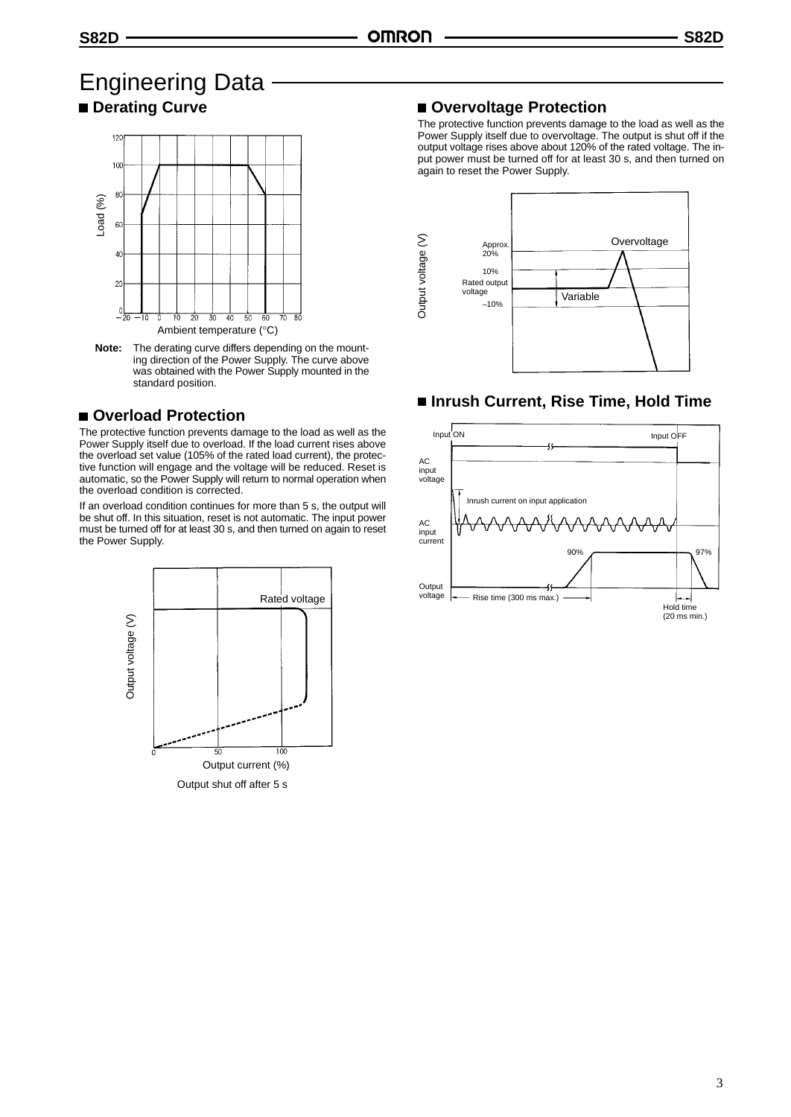## Engineering Data  $\blacksquare$  **Derating Curve**



**Note:** The derating curve differs depending on the mounting direction of the Power Supply. The curve above was obtained with the Power Supply mounted in the standard position.

## **Overload Protection**

The protective function prevents damage to the load as well as the Power Supply itself due to overload. If the load current rises above the overload set value (105% of the rated load current), the protective function will engage and the voltage will be reduced. Reset is automatic, so the Power Supply will return to normal operation when the overload condition is corrected.

If an overload condition continues for more than 5 s, the output will be shut off. In this situation, reset is not automatic. The input power must be turned off for at least 30 s, and then turned on again to reset the Power Supply.



## **Overvoltage Protection**

The protective function prevents damage to the load as well as the Power Supply itself due to overvoltage. The output is shut off if the output voltage rises above about 120% of the rated voltage. The input power must be turned off for at least 30 s, and then turned on again to reset the Power Supply.



## **Inrush Current, Rise Time, Hold Time**

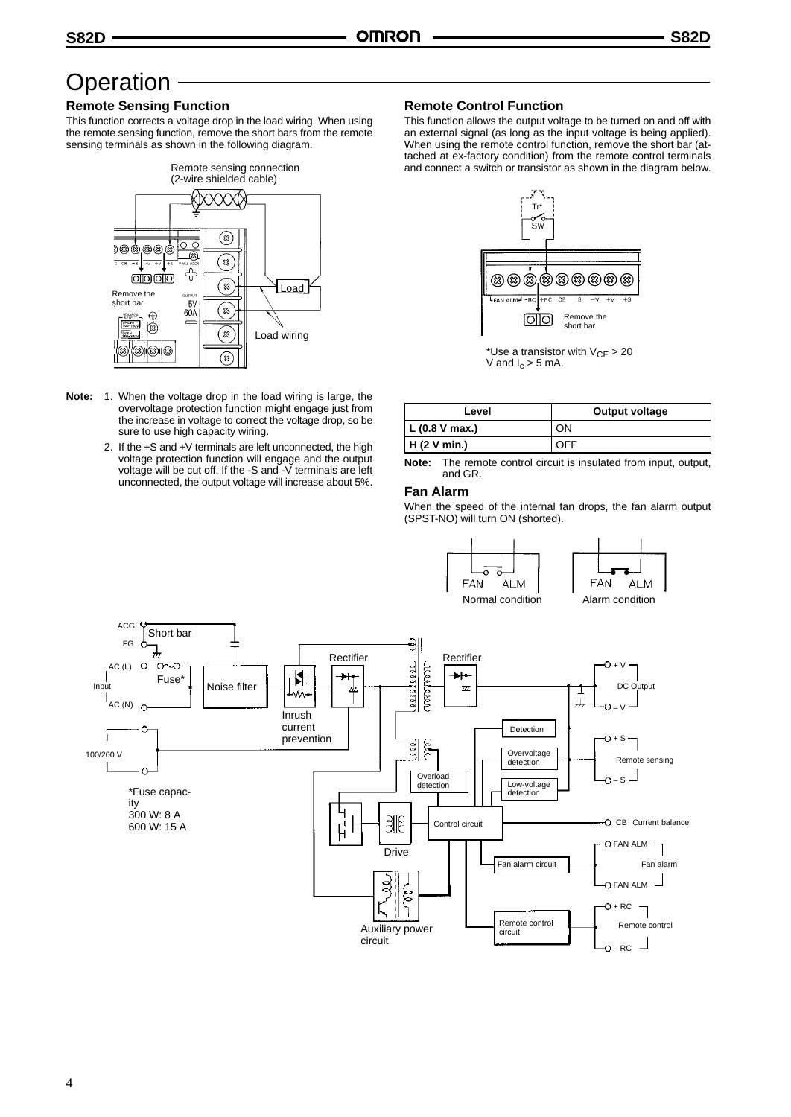## **Operation**

## **Remote Sensing Function**

This function corrects a voltage drop in the load wiring. When using the remote sensing function, remove the short bars from the remote sensing terminals as shown in the following diagram.



- **Note:** 1. When the voltage drop in the load wiring is large, the overvoltage protection function might engage just from the increase in voltage to correct the voltage drop, so be sure to use high capacity wiring.
	- 2. If the +S and +V terminals are left unconnected, the high voltage protection function will engage and the output voltage will be cut off. If the -S and -V terminals are left unconnected, the output voltage will increase about 5%.

### **Remote Control Function**

This function allows the output voltage to be turned on and off with an external signal (as long as the input voltage is being applied). When using the remote control function, remove the short bar (attached at ex-factory condition) from the remote control terminals and connect a switch or transistor as shown in the diagram below.



\*Use a transistor with  $V_{CE} > 20$ V and  $I_c > 5$  mA.

| Level          | Output voltage |  |
|----------------|----------------|--|
| L (0.8 V max.) | ΟN             |  |
| H(2 V min.)    |                |  |

**Note:** The remote control circuit is insulated from input, output, and GR.

### **Fan Alarm**

When the speed of the internal fan drops, the fan alarm output (SPST-NO) will turn ON (shorted).

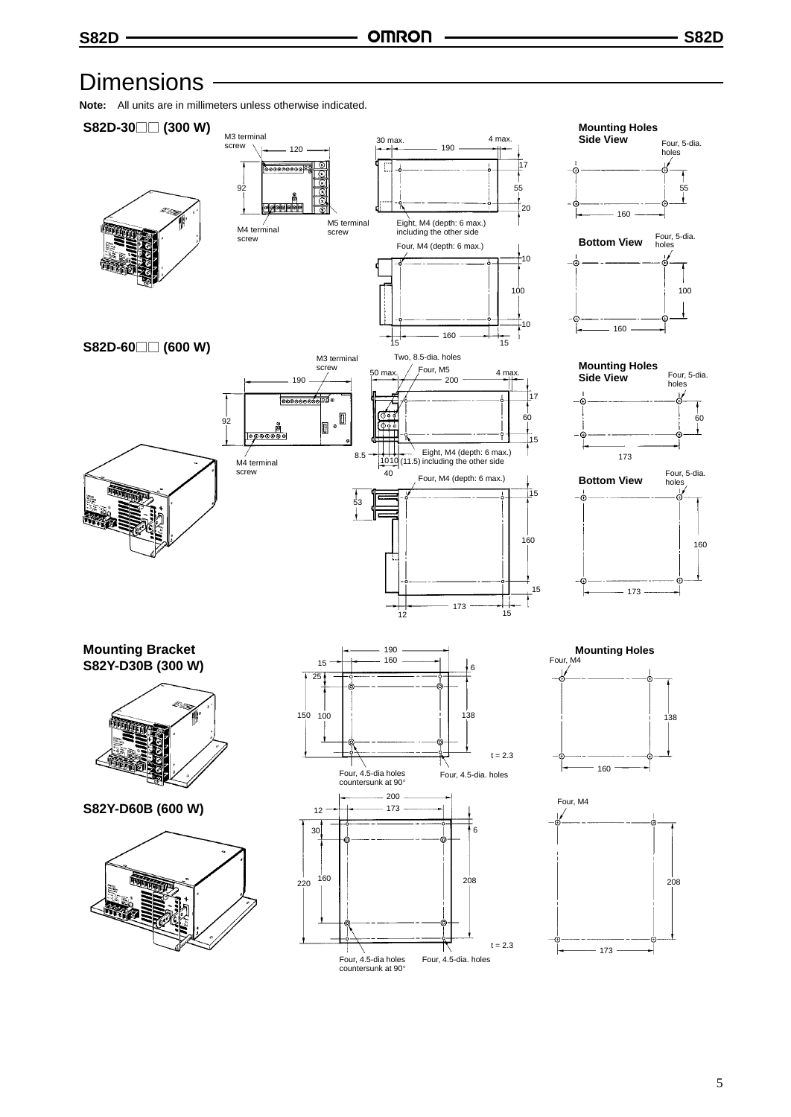## **Dimensions**

**Note:** All units are in millimeters unless otherwise indicated.

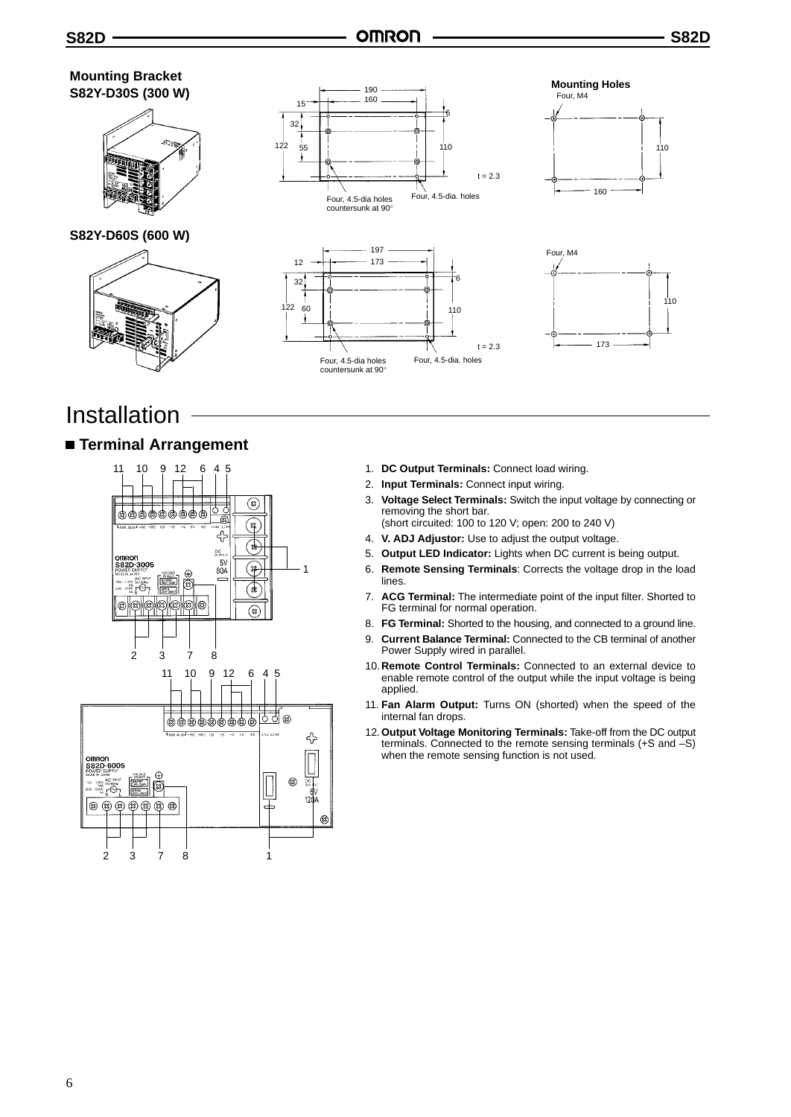

## Installation

## **Terminal Arrangement**



- 1. **DC Output Terminals:** Connect load wiring.
- 2. **Input Terminals:** Connect input wiring.
- 3. **Voltage Select Terminals:** Switch the input voltage by connecting or removing the short bar.
- (short circuited: 100 to 120 V; open: 200 to 240 V)
- 4. **V. ADJ Adjustor:** Use to adjust the output voltage.
- 5. **Output LED Indicator:** Lights when DC current is being output.
- 6. **Remote Sensing Terminals**: Corrects the voltage drop in the load lines.
- 7. **ACG Terminal:** The intermediate point of the input filter. Shorted to FG terminal for normal operation.
- 8. **FG Terminal:** Shorted to the housing, and connected to a ground line.
- 9. **Current Balance Terminal:** Connected to the CB terminal of another Power Supply wired in parallel.
- 10.**Remote Control Terminals:** Connected to an external device to enable remote control of the output while the input voltage is being applied.
- 11. **Fan Alarm Output:** Turns ON (shorted) when the speed of the internal fan drops.
- 12.**Output Voltage Monitoring Terminals:** Take-off from the DC output terminals. Connected to the remote sensing terminals (+S and –S) when the remote sensing function is not used.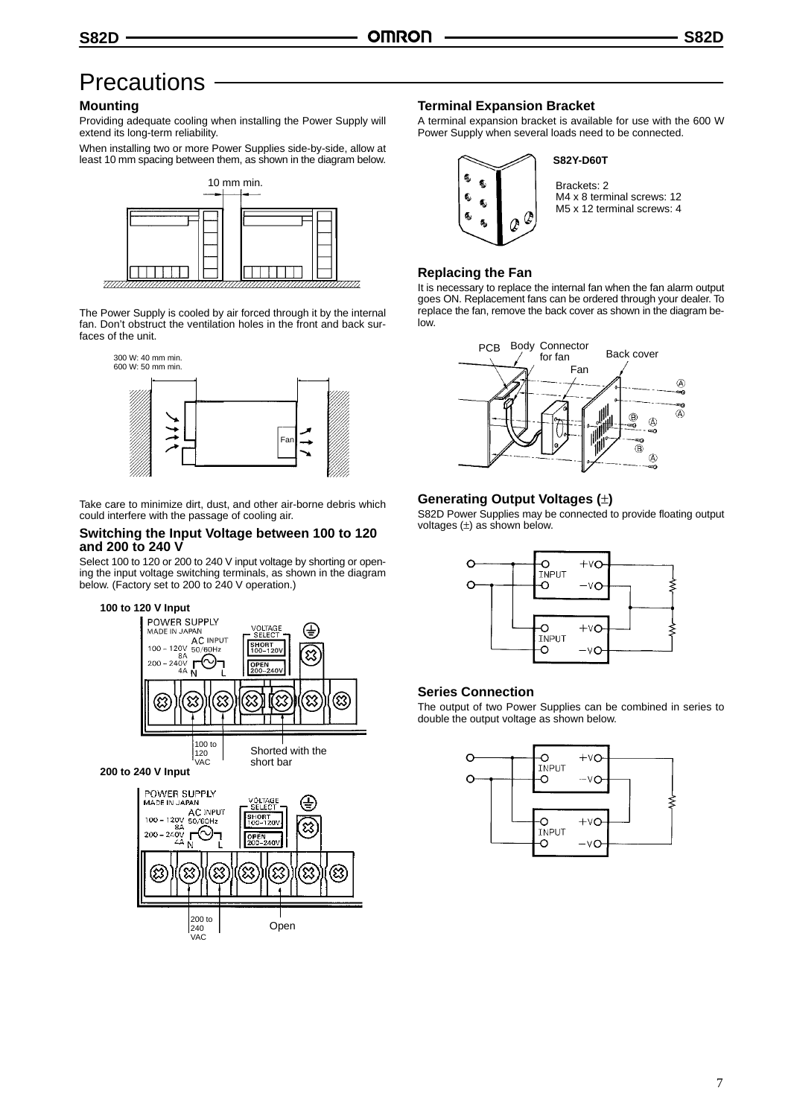## **Precautions**

### **Mounting**

Providing adequate cooling when installing the Power Supply will extend its long-term reliability.

When installing two or more Power Supplies side-by-side, allow at least 10 mm spacing between them, as shown in the diagram below.



The Power Supply is cooled by air forced through it by the internal fan. Don't obstruct the ventilation holes in the front and back surfaces of the unit.



Take care to minimize dirt, dust, and other air-borne debris which could interfere with the passage of cooling air.

#### **Switching the Input Voltage between 100 to 120 and 200 to 240 V**

Select 100 to 120 or 200 to 240 V input voltage by shorting or opening the input voltage switching terminals, as shown in the diagram below. (Factory set to 200 to 240 V operation.)







**200 to 240 V Input**



## **Terminal Expansion Bracket**

A terminal expansion bracket is available for use with the 600 W Power Supply when several loads need to be connected.



#### **S82Y-D60T**

Brackets: 2 M4 x 8 terminal screws: 12 M5 x 12 terminal screws: 4

### **Replacing the Fan**

It is necessary to replace the internal fan when the fan alarm output goes ON. Replacement fans can be ordered through your dealer. To replace the fan, remove the back cover as shown in the diagram below.



## **Generating Output Voltages (**±**)**

S82D Power Supplies may be connected to provide floating output voltages  $(\pm)$  as shown below.



### **Series Connection**

The output of two Power Supplies can be combined in series to double the output voltage as shown below.